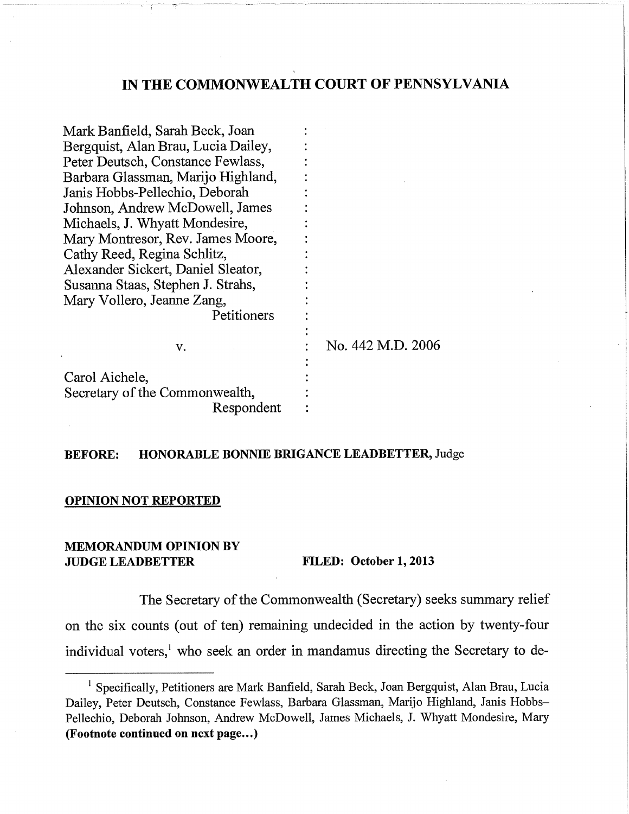# IN THE COMMONWEALTH COURT OF PENNSYLVANIA

| Mark Banfield, Sarah Beck, Joan     |                   |
|-------------------------------------|-------------------|
| Bergquist, Alan Brau, Lucia Dailey, |                   |
| Peter Deutsch, Constance Fewlass,   |                   |
| Barbara Glassman, Marijo Highland,  |                   |
| Janis Hobbs-Pellechio, Deborah      |                   |
| Johnson, Andrew McDowell, James     |                   |
| Michaels, J. Whyatt Mondesire,      |                   |
| Mary Montresor, Rev. James Moore,   |                   |
| Cathy Reed, Regina Schlitz,         |                   |
| Alexander Sickert, Daniel Sleator,  |                   |
| Susanna Staas, Stephen J. Strahs,   |                   |
| Mary Vollero, Jeanne Zang,          |                   |
| Petitioners                         |                   |
|                                     |                   |
| v.                                  | No. 442 M.D. 2006 |
|                                     |                   |
| Carol Aichele,                      |                   |
| Secretary of the Commonwealth,      |                   |
| Respondent                          |                   |

## BEFORE: HONORABLE BONNIE BRIGANCE LEADBETTER, Judge

### OPINION NOT REPORTED

## MEMORANDUM OPINION BY JUDGE LEADBETTER FILED: October 1, 2013

The Secretary of the Commonwealth (Secretary) seeks summary relief on the six counts (out of ten) remaining undecided in the action by twenty-four individual voters,' who seek an order in mandamus directing the Secretary to de-

<sup>&</sup>lt;sup>1</sup> Specifically, Petitioners are Mark Banfield, Sarah Beck, Joan Bergquist, Alan Brau, Lucia Dailey, Peter Deutsch, Constance Fewlass, Barbara Glassman, Marijo Highland, Janis Hobbs— Pellechio, Deborah Johnson, Andrew McDowell, James Michaels, J. Whyatt Mondesire, Mary (Footnote continued on next page...)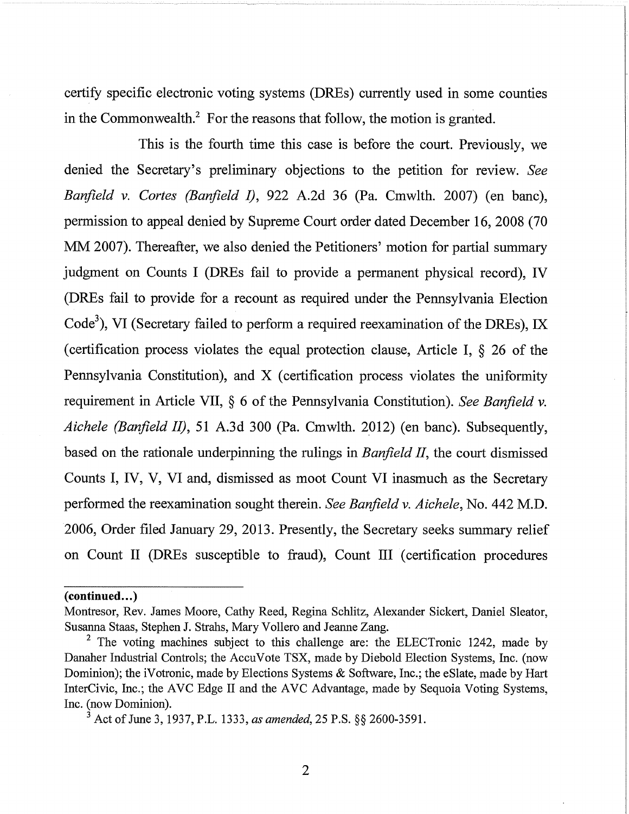certify specific electronic voting systems (DREs) currently used in some counties in the Commonwealth. $^2$  For the reasons that follow, the motion is granted.

This is the fourth time this case is before the court. Previously, we denied the Secretary's preliminary objections to the petition for review. See Bonfield v. Cortes (Bonfield I), 922 A.2d 36 (Pa. Cmwlth. 2007) (en banc), permission to appeal denied by Supreme Court order dated December 16, 2008 (70 MM 2007). Thereafter, we also denied the Petitioners' motion for partial summary judgment on Counts I (DREs fail to provide a permanent physical record), IV (DREs fail to provide for a recount as required under the Pennsylvania Election Code<sup>3</sup>), VI (Secretary failed to perform a required reexamination of the DREs), IX (certification process violates the equal protection clause, Article I, § 26 of the Pennsylvania Constitution), and X (certification process violates the uniformity requirement in Article VII,  $\S$  6 of the Pennsylvania Constitution). See Banfield v. Aichele (Banfield II), 51 A.3d 300 (Pa. Cmwlth. 2012) (en banc). Subsequently, based on the rationale underpinning the rulings in *Banfield II*, the court dismissed Counts I, IV, V, VI and, dismissed as moot Count VI inasmuch as the Secretary performed the reexamination sought therein. See Banfield v. Aichele, No. 442 M.D. 2006, Order filed January 29, 2013. Presently, the Secretary seeks summary relief on Count II (DREs susceptible to fraud), Count III (certification procedures

<sup>(</sup>continued...)

Montresor, Rev. James Moore, Cathy Reed, Regina Schlitz, Alexander Sickert, Daniel Sleator, Susanna Staas, Stephen J. Strahs, Mary Vollero and Jeanne Zang.

<sup>&</sup>lt;sup>2</sup> The voting machines subject to this challenge are: the ELECTronic 1242, made by Danaher Industrial Controls; the AccuVote TSX, made by Diebold Election Systems, Inc. (now Dominion); the iVotronic, made by Elections Systems & Software, Inc.; the eSlate, made by Hart InterCivic, Inc.; the AVC Edge II and the AVC Advantage, made by Sequoia Voting Systems, Inc. (now Dominion).

 $3^{3}$  Act of June 3, 1937, P.L. 1333, as amended, 25 P.S. §§ 2600-3591.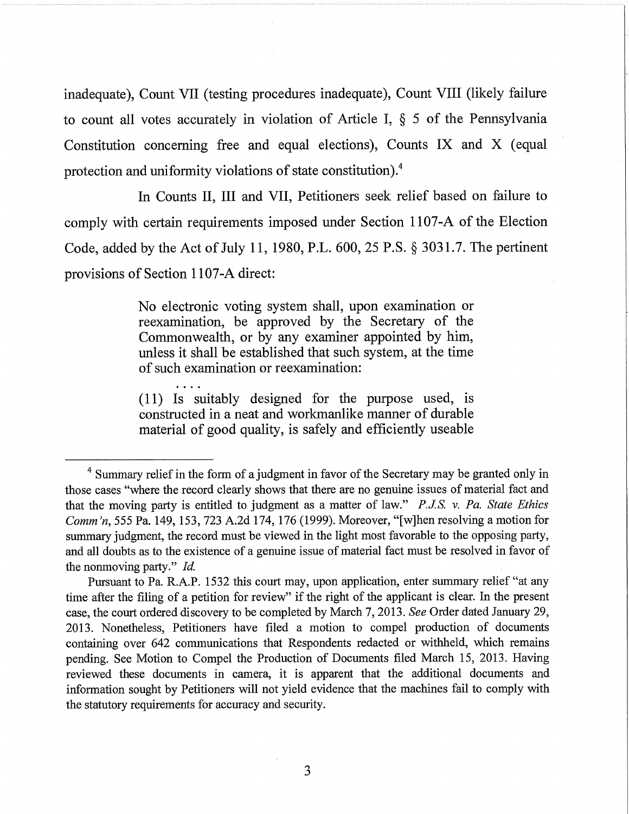inadequate), Count VII (testing procedures inadequate), Count VIII (likely failure to count all votes accurately in violation of Article I, § 5 of the Pennsylvania Constitution concerning free and equal elections), Counts IX and X (equal protection and uniformity violations of state constitution).4

In Counts II, III and VII, Petitioners seek relief based on failure to comply with certain requirements imposed under Section 1107-A of the Election Code, added by the Act of July 11, 1980, P.L. 600, 25 P.S. § 3031.7. The pertinent provisions of Section 1107-A direct:

> No electronic voting system shall, upon examination or reexamination, be approved by the Secretary of the Commonwealth, or by any examiner appointed by him, unless it shall be established that such system, at the time of such examination or reexamination:

> (11) Is suitably designed for the purpose used, is constructed in a neat and workmanlike manner of durable material of good quality, is safely and efficiently useable

• • • •

<sup>&</sup>lt;sup>4</sup> Summary relief in the form of a judgment in favor of the Secretary may be granted only in those cases "where the record clearly shows that there are no genuine issues of material fact and that the moving party is entitled to judgment as a matter of law."  $P.J.S. v. Pa. State Ethics$ Comm'n, 555 Pa. 149, 153, 723 A.2d 174, 176 (1999). Moreover, "[w]hen resolving a motion for summary judgment, the record must be viewed in the light most favorable to the opposing party, and all doubts as to the existence of a genuine issue of material fact must be resolved in favor of the nonmoving party." Id.

Pursuant to Pa. R.A.P. 1532 this court may, upon application, enter summary relief "at any time after the filing of a petition for review" if the right of the applicant is clear. In the present case, the court ordered discovery to be completed by March 7, 2013. See Order dated January 29, 2013. Nonetheless, Petitioners have filed a motion to compel production of documents containing over 642 communications that Respondents redacted or withheld, which remains pending. See Motion to Compel the Production of Documents filed March 15, 2013. Having reviewed these documents in camera, it is apparent that the additional documents and information sought by Petitioners will not yield evidence that the machines fail to comply with the statutory requirements for accuracy and security.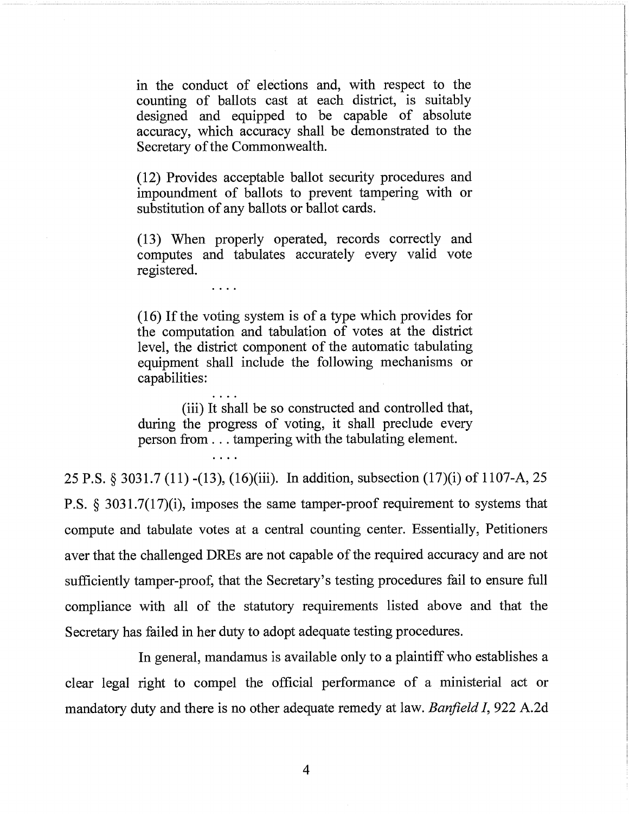in the conduct of elections and, with respect to the counting of ballots cast at each district, is suitably designed and equipped to be capable of absolute accuracy, which accuracy shall be demonstrated to the Secretary of the Commonwealth.

(12) Provides acceptable ballot security procedures and impoundment of ballots to prevent tampering with or substitution of any ballots or ballot cards.

(13) When properly operated, records correctly and computes and tabulates accurately every valid vote registered.

• • •

(16) If the voting system is of a type which provides for the computation and tabulation of votes at the district level, the district component of the automatic tabulating equipment shall include the following mechanisms or capabilities:

(iii) It shall be so constructed and controlled that, during the progress of voting, it shall preclude every person from . . . tampering with the tabulating element.

25 P.S. § 3031.7 (11) -(13), (16)(iii). In addition, subsection (17)(i) of 1107-A, 25 P.S. § 3031.7(17)(i), imposes the same tamper-proof requirement to systems that compute and tabulate votes at a central counting center. Essentially, Petitioners aver that the challenged DREs are not capable of the required accuracy and are not sufficiently tamper-proof, that the Secretary's testing procedures fail to ensure full compliance with all of the statutory requirements listed above and that the Secretary has failed in her duty to adopt adequate testing procedures.

In general, mandamus is available only to a plaintiff who establishes a clear legal right to compel the official performance of a ministerial act or mandatory duty and there is no other adequate remedy at law. *Banfield I*, 922 A.2d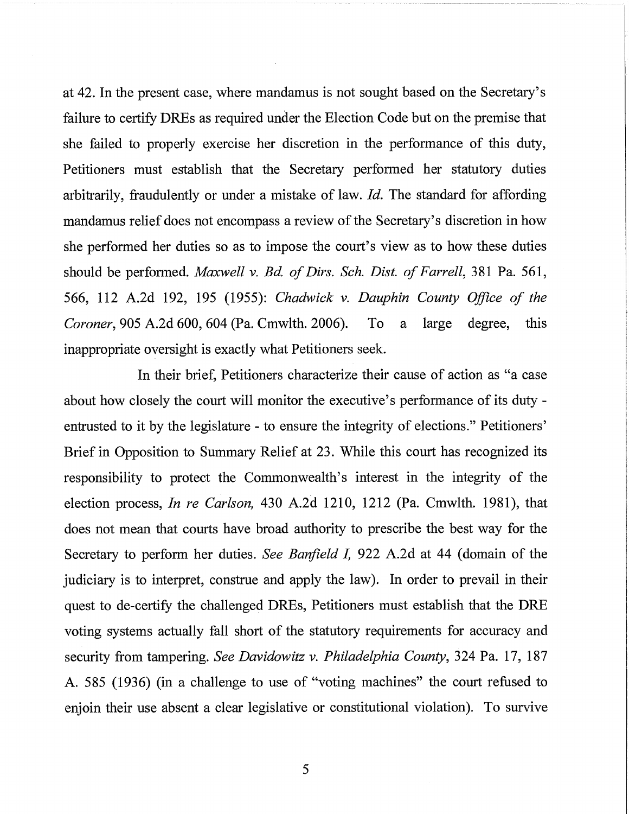at 42. In the present case, where mandamus is not sought based on the Secretary's failure to certify DREs as required under the Election Code but on the premise that she failed to properly exercise her discretion in the performance of this duty, Petitioners must establish that the Secretary performed her statutory duties arbitrarily, fraudulently or under a mistake of law. Id. The standard for affording mandamus relief does not encompass a review of the Secretary's discretion in how she performed her duties so as to impose the court's view as to how these duties should be performed. Maxwell v. Bd. of Dirs. Sch. Dist. of Farrell, 381 Pa. 561, 566, 112 A.2d 192, 195 (1955): Chadwick v. Dauphin County Office of the Coroner, 905 A.2d 600, 604 (Pa. Cmwlth. 2006). To a large degree, this inappropriate oversight is exactly what Petitioners seek.

In their brief, Petitioners characterize their cause of action as "a case about how closely the court will monitor the executive's performance of its duty entrusted to it by the legislature - to ensure the integrity of elections." Petitioners' Brief in Opposition to Summary Relief at 23. While this court has recognized its responsibility to protect the Commonwealth's interest in the integrity of the election process, In re Carlson, 430 A.2d 1210, 1212 (Pa. Cmwlth. 1981), that does not mean that courts have broad authority to prescribe the best way for the Secretary to perform her duties. See Banfield I, 922 A.2d at 44 (domain of the judiciary is to interpret, construe and apply the law). In order to prevail in their quest to de-certify the challenged DREs, Petitioners must establish that the DRE voting systems actually fall short of the statutory requirements for accuracy and security from tampering. See Davidowitz v. Philadelphia County, 324 Pa. 17, 187 A. 585 (1936) (in a challenge to use of "voting machines" the court refused to enjoin their use absent a clear legislative or constitutional violation). To survive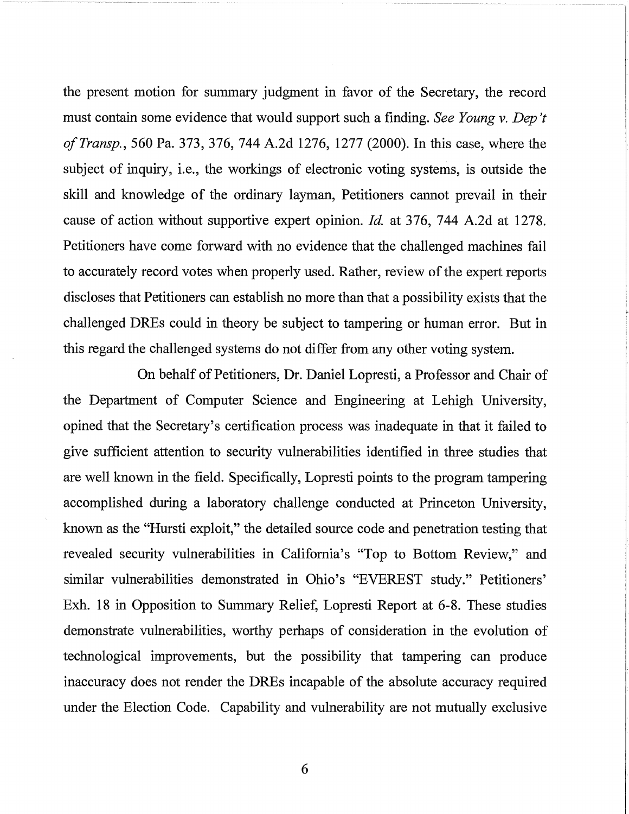the present motion for summary judgment in favor of the Secretary, the record must contain some evidence that would support such a finding. See Young v. Dep't of Transp., 560 Pa. 373, 376, 744 A.2d 1276, 1277 (2000). In this case, where the subject of inquiry, i.e., the workings of electronic voting systems, is outside the skill and knowledge of the ordinary layman, Petitioners cannot prevail in their cause of action without supportive expert opinion. Id. at 376, 744 A.2d at 1278. Petitioners have come forward with no evidence that the challenged machines fail to accurately record votes when properly used. Rather, review of the expert reports discloses that Petitioners can establish no more than that a possibility exists that the challenged DREs could in theory be subject to tampering or human error. But in this regard the challenged systems do not differ from any other voting system.

On behalf of Petitioners, Dr. Daniel Lopresti, a Professor and Chair of the Department of Computer Science and Engineering at Lehigh University, opined that the Secretary's certification process was inadequate in that it failed to give sufficient attention to security vulnerabilities identified in three studies that are well known in the field. Specifically, Lopresti points to the program tampering accomplished during a laboratory challenge conducted at Princeton University, known as the "Hursti exploit," the detailed source code and penetration testing that revealed security vulnerabilities in California's "Top to Bottom Review," and similar vulnerabilities demonstrated in Ohio's "EVEREST study." Petitioners' Exh. 18 in Opposition to Summary Relief, Lopresti Report at 6-8. These studies demonstrate vulnerabilities, worthy perhaps of consideration in the evolution of technological improvements, but the possibility that tampering can produce inaccuracy does not render the DREs incapable of the absolute accuracy required under the Election Code. Capability and vulnerability are not mutually exclusive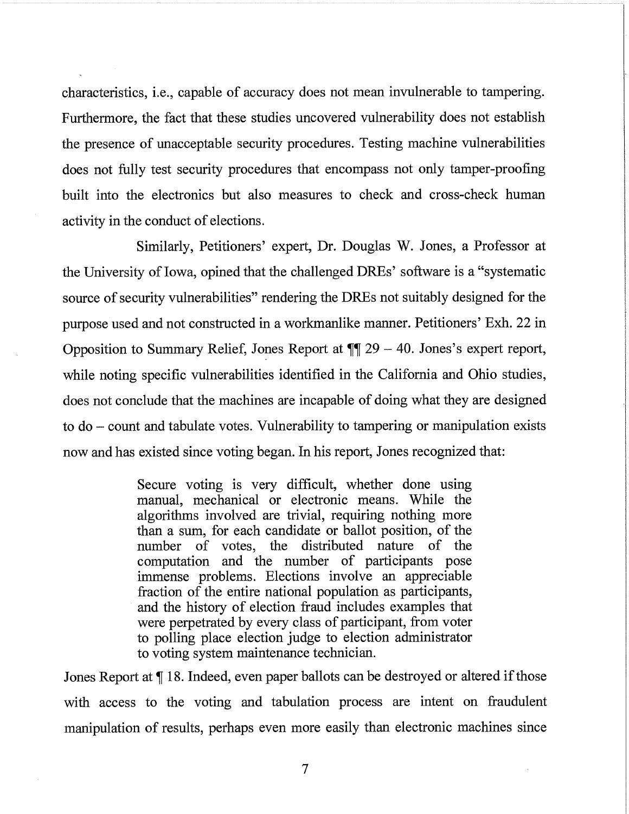characteristics, i.e., capable of accuracy does not mean invulnerable to tampering. Furthermore, the fact that these studies uncovered vulnerability does not establish the presence of unacceptable security procedures. Testing machine vulnerabilities does not fully test security procedures that encompass not only tamper-proofing built into the electronics but also measures to check and cross-check human activity in the conduct of elections.

Similarly, Petitioners' expert, Dr. Douglas W. Jones, a Professor at the University of Iowa, opined that the challenged DREs' software is a "systematic source of security vulnerabilities" rendering the DREs not suitably designed for the purpose used and not constructed in a workmanlike manner. Petitioners' Exh. 22 in Opposition to Summary Relief, Jones Report at  $\P$  29 – 40. Jones's expert report, while noting specific vulnerabilities identified in the California and Ohio studies, does not conclude that the machines are incapable of doing what they are designed to do — count and tabulate votes. Vulnerability to tampering or manipulation exists now and has existed since voting began. In his report, Jones recognized that:

> Secure voting is very difficult, whether done using manual, mechanical or electronic means. While the algorithms involved are trivial, requiring nothing more than a sum, for each candidate or ballot position, of the number of votes, the distributed nature of the computation and the number of participants pose immense problems. Elections involve an appreciable fraction of the entire national population as participants, and the history of election fraud includes examples that were perpetrated by every class of participant, from voter to polling place election judge to election administrator to voting system maintenance technician.

Jones Report at ¶ 18. Indeed, even paper ballots can be destroyed or altered if those with access to the voting and tabulation process are intent on fraudulent manipulation of results, perhaps even more easily than electronic machines since

7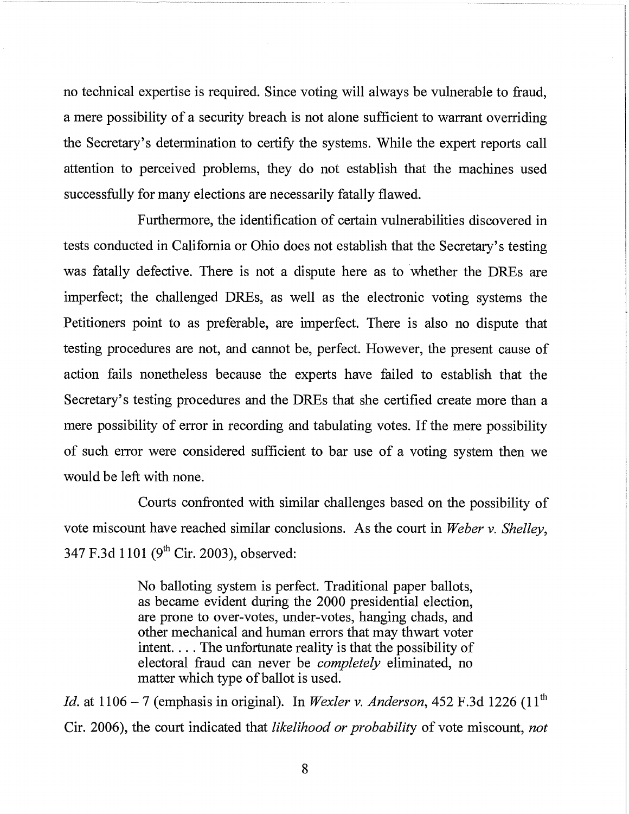no technical expertise is required. Since voting will always be vulnerable to fraud, a mere possibility of a security breach is not alone sufficient to warrant overriding the Secretary's determination to certify the systems. While the expert reports call attention to perceived problems, they do not establish that the machines used successfully for many elections are necessarily fatally flawed.

Furthermore, the identification of certain vulnerabilities discovered in tests conducted in California or Ohio does not establish that the Secretary's testing was fatally defective. There is not a dispute here as to whether the DREs are imperfect; the challenged DREs, as well as the electronic voting systems the Petitioners point to as preferable, are imperfect. There is also no dispute that testing procedures are not, and cannot be, perfect. However, the present cause of action fails nonetheless because the experts have failed to establish that the Secretary's testing procedures and the DREs that she certified create more than a mere possibility of error in recording and tabulating votes. If the mere possibility of such error were considered sufficient to bar use of a voting system then we would be left with none.

Courts confronted with similar challenges based on the possibility of vote miscount have reached similar conclusions. As the court in Weber v. Shelley, 347 F.3d 1101 (9<sup>th</sup> Cir. 2003), observed:

> No balloting system is perfect. Traditional paper ballots, as became evident during the 2000 presidential election, are prone to over-votes, under-votes, hanging chads, and other mechanical and human errors that may thwart voter intent. . . . The unfortunate reality is that the possibility of electoral fraud can never be completely eliminated, no matter which type of ballot is used.

Id. at  $1106 - 7$  (emphasis in original). In Wexler v. Anderson, 452 F.3d 1226 (11<sup>th</sup> Cir. 2006), the court indicated that likelihood or probability of vote miscount, not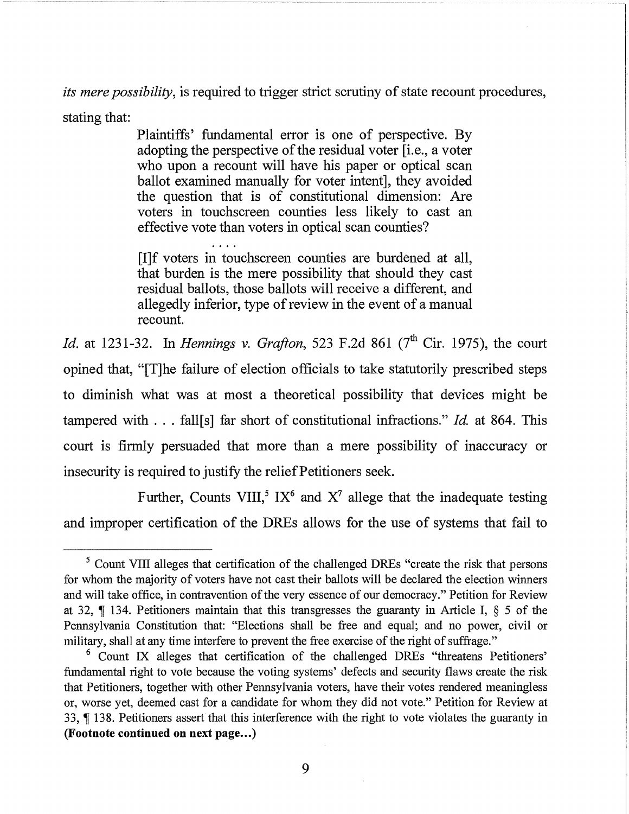its mere possibility, is required to trigger strict scrutiny of state recount procedures,

stating that:

Plaintiffs' fundamental error is one of perspective. By adopting the perspective of the residual voter [i.e., a voter who upon a recount will have his paper or optical scan ballot examined manually for voter intent], they avoided the question that is of constitutional dimension: Are voters in touchscreen counties less likely to cast an effective vote than voters in optical scan counties?

• • • • [I]f voters in touchscreen counties are burdened at all, that burden is the mere possibility that should they cast residual ballots, those ballots will receive a different, and allegedly inferior, type of review in the event of a manual recount.

Id. at 1231-32. In Hennings v. Grafton, 523 F.2d 861 ( $7<sup>th</sup>$  Cir. 1975), the court opined that, "[T]he failure of election officials to take statutorily prescribed steps to diminish what was at most a theoretical possibility that devices might be tampered with . . . fall[s] far short of constitutional infractions." Id. at 864. This court is firmly persuaded that more than a mere possibility of inaccuracy or insecurity is required to justify the relief Petitioners seek.

Further, Counts VIII,<sup>5</sup> IX<sup>6</sup> and X<sup>7</sup> allege that the inadequate testing and improper certification of the DREs allows for the use of systems that fail to

<sup>&</sup>lt;sup>5</sup> Count VIII alleges that certification of the challenged DREs "create the risk that persons for whom the majority of voters have not cast their ballots will be declared the election winners and will take office, in contravention of the very essence of our democracy." Petition for Review at 32, ¶ 134. Petitioners maintain that this transgresses the guaranty in Article I, § 5 of the Pennsylvania Constitution that: "Elections shall be free and equal; and no power, civil or military, shall at any time interfere to prevent the free exercise of the right of suffrage."

 $6$  Count IX alleges that certification of the challenged DREs "threatens Petitioners" fundamental right to vote because the voting systems' defects and security flaws create the risk that Petitioners, together with other Pennsylvania voters, have their votes rendered meaningless or, worse yet, deemed cast for a candidate for whom they did not vote." Petition for Review at 33, ¶ 138. Petitioners assert that this interference with the right to vote violates the guaranty in (Footnote continued on next page...)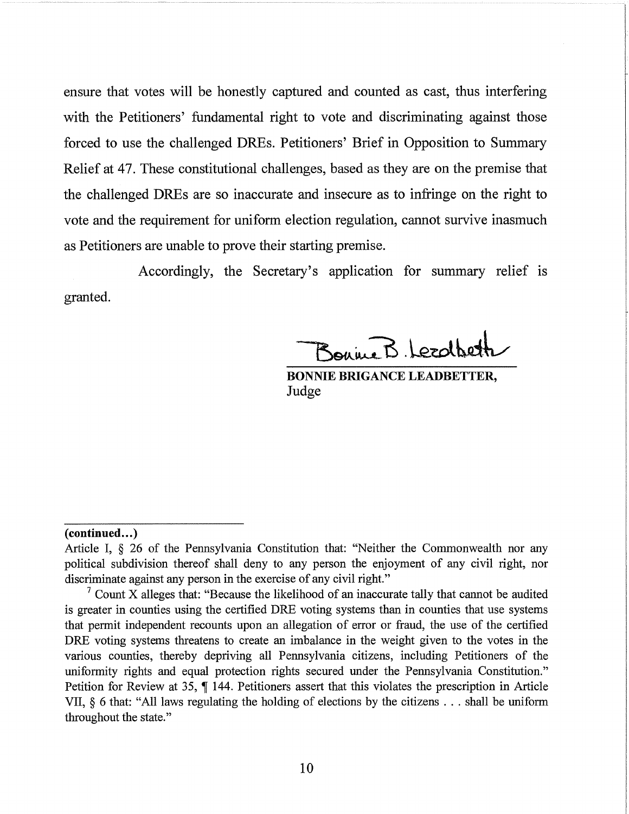ensure that votes will be honestly captured and counted as cast, thus interfering with the Petitioners' fundamental right to vote and discriminating against those forced to use the challenged DREs. Petitioners' Brief in Opposition to Summary Relief at 47. These constitutional challenges, based as they are on the premise that the challenged DREs are so inaccurate and insecure as to infringe on the right to vote and the requirement for uniform election regulation, cannot survive inasmuch as Petitioners are unable to prove their starting premise.

Accordingly, the Secretary's application for summary relief is granted.

Bonne B. Lezathet

BONNIE BRIGANCE LEADBETTER, Judge

## (continued...)

Article I, § 26 of the Pennsylvania Constitution that: "Neither the Commonwealth nor any political subdivision thereof shall deny to any person the enjoyment of any civil right, nor discriminate against any person in the exercise of any civil right."

 $<sup>7</sup>$  Count X alleges that: "Because the likelihood of an inaccurate tally that cannot be audited</sup> is greater in counties using the certified DRE voting systems than in counties that use systems that permit independent recounts upon an allegation of error or fraud, the use of the certified DRE voting systems threatens to create an imbalance in the weight given to the votes in the various counties, thereby depriving all Pennsylvania citizens, including Petitioners of the uniformity rights and equal protection rights secured under the Pennsylvania Constitution." Petition for Review at 35, ¶ 144. Petitioners assert that this violates the prescription in Article VII, § 6 that: "All laws regulating the holding of elections by the citizens . . . shall be uniform throughout the state."